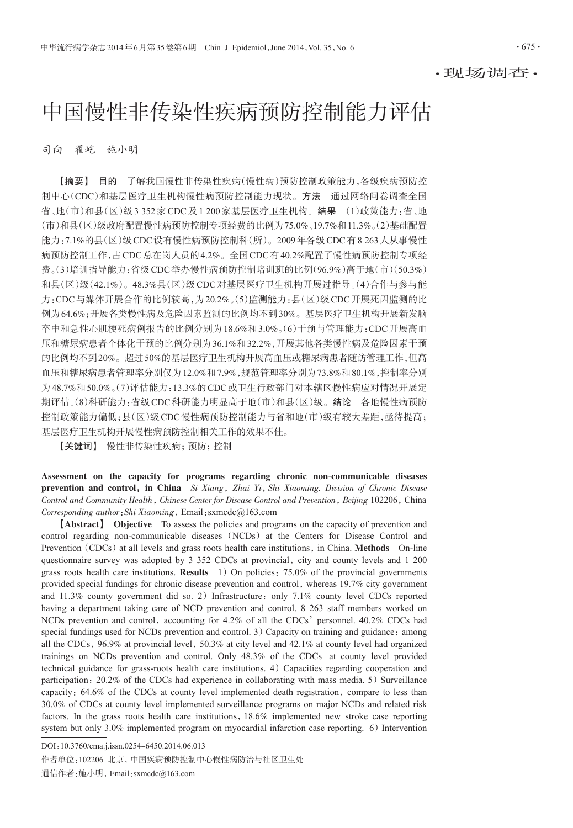$.675.$ 

# 中国慢性非传染性疾病预防控制能力评估

司向 翟屹 施小明

【摘要】 目的 了解我国慢性非传染性疾病(慢性病)预防控制政策能力,各级疾病预防控 制中心(CDC)和基层医疗卫生机构慢性病预防控制能力现状。方法 通过网络问卷调查全国 省、地(市)和县(区)级3 352家CDC及1 200家基层医疗卫生机构。结果 (1)政策能力:省、地 (市)和县(区)级政府配置慢性病预防控制专项经费的比例为75.0%、19.7%和11.3%。(2)基础配置 能力:7.1%的县(区)级CDC设有慢性病预防控制科(所)。2009年各级CDC有8 263人从事慢性 病预防控制工作,占CDC总在岗人员的4.2%。全国CDC有40.2%配置了慢性病预防控制专项经 费。(3)培训指导能力:省级CDC举办慢性病预防控制培训班的比例(96.9%)高于地(市)(50.3%) 和县(区)级(42.1%)。48.3%县(区)级CDC对基层医疗卫生机构开展过指导。(4)合作与参与能 力:CDC与媒体开展合作的比例较高,为20.2%。(5)监测能力:县(区)级CDC开展死因监测的比 例为64.6%;开展各类慢性病及危险因素监测的比例均不到30%。基层医疗卫生机构开展新发脑 卒中和急性心肌梗死病例报告的比例分别为18.6%和3.0%。(6)干预与管理能力:CDC开展高血 压和糖尿病患者个体化干预的比例分别为36.1%和32.2%,开展其他各类慢性病及危险因素干预 的比例均不到20%。超过50%的基层医疗卫生机构开展高血压或糖尿病患者随访管理工作,但高 血压和糖尿病患者管理率分别仅为12.0%和7.9%,规范管理率分别为73.8%和80.1%,控制率分别 为48.7%和50.0%。(7)评估能力:13.3%的CDC或卫生行政部门对本辖区慢性病应对情况开展定 期评估。(8)科研能力:省级CDC科研能力明显高于地(市)和县(区)级。结论 各地慢性病预防 控制政策能力偏低;县(区)级CDC慢性病预防控制能力与省和地(市)级有较大差距,亟待提高; 基层医疗卫生机构开展慢性病预防控制相关工作的效果不佳。

【关键词】 慢性非传染性疾病;预防;控制

Assessment on the capacity for programs regarding chronic non-communicable diseases prevention and control, in China Si Xiang, Zhai Yi, Shi Xiaoming. Division of Chronic Disease Control and Community Health, Chinese Center for Disease Control and Prevention, Beijing 102206, China Corresponding author:Shi Xiaoming,Email:sxmcdc@163.com

【Abstract】 Objective To assess the policies and programs on the capacity of prevention and control regarding non-communicable diseases (NCDs) at the Centers for Disease Control and Prevention (CDCs) at all levels and grass roots health care institutions, in China. Methods On-line questionnaire survey was adopted by 3 352 CDCs at provincial, city and county levels and 1 200 grass roots health care institutions. **Results** 1) On policies:  $75.0\%$  of the provincial governments provided special fundings for chronic disease prevention and control,whereas 19.7% city government and  $11.3\%$  county government did so. 2) Infrastructure: only 7.1% county level CDCs reported having a department taking care of NCD prevention and control. 8 263 staff members worked on NCDs prevention and control, accounting for  $4.2\%$  of all the CDCs' personnel.  $40.2\%$  CDCs had special fundings used for NCDs prevention and control.  $3)$  Capacity on training and guidance: among all the CDCs, 96.9% at provincial level, 50.3% at city level and 42.1% at county level had organized trainings on NCDs prevention and control. Only 48.3% of the CDCs at county level provided technical guidance for grass-roots health care institutions. 4) Capacities regarding cooperation and participation:  $20.2\%$  of the CDCs had experience in collaborating with mass media. 5) Surveillance capacity: 64.6% of the CDCs at county level implemented death registration, compare to less than 30.0% of CDCs at county level implemented surveillance programs on major NCDs and related risk factors. In the grass roots health care institutions,18.6% implemented new stroke case reporting system but only  $3.0\%$  implemented program on myocardial infarction case reporting. 6) Intervention

DOI:10.3760/cma.j.issn.0254-6450.2014.06.013

作者单位:102206 北京,中国疾病预防控制中心慢性病防治与社区卫生处 通信作者:施小明,Email:sxmcdc@163.com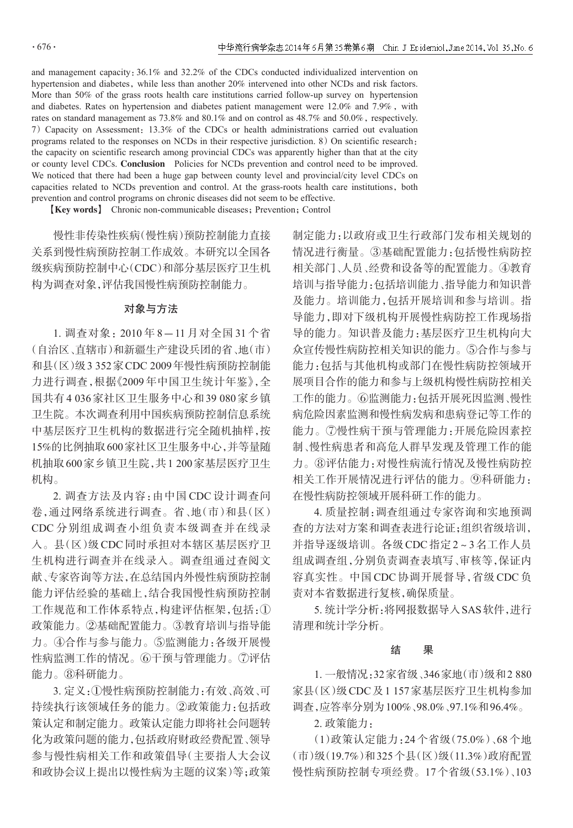$.676.$ 

and management capacity:36.1% and 32.2% of the CDCs conducted individualized intervention on hypertension and diabetes, while less than another 20% intervened into other NCDs and risk factors. More than 50% of the grass roots health care institutions carried follow-up survey on hypertension and diabetes. Rates on hypertension and diabetes patient management were  $12.0\%$  and  $7.9\%$ , with rates on standard management as  $73.8\%$  and  $80.1\%$  and on control as  $48.7\%$  and  $50.0\%$ , respectively. 7)Capacity on Assessment:13.3% of the CDCs or health administrations carried out evaluation programs related to the responses on NCDs in their respective jurisdiction.  $8$ ) On scientific research: the capacity on scientific research among provincial CDCs was apparently higher than that at the city or county level CDCs. Conclusion Policies for NCDs prevention and control need to be improved. We noticed that there had been a huge gap between county level and provincial/city level CDCs on capacities related to NCDs prevention and control. At the grass-roots health care institutions, both prevention and control programs on chronic diseases did not seem to be effective.

【Key words】 Chronic non-communicable diseases;Prevention;Control

慢性非传染性疾病(慢性病)预防控制能力直接 关系到慢性病预防控制工作成效。本研究以全国各 级疾病预防控制中心(CDC)和部分基层医疗卫生机 构为调查对象,评估我国慢性病预防控制能力。

## 对象与方法

1. 调查对象:2010 年 8-11 月对全国 31 个省 (自治区、直辖市)和新疆生产建设兵团的省、地(市) 和县(区)级3 352家CDC 2009年慢性病预防控制能 力进行调查,根据《2009 年中国卫生统计年鉴》,全 国共有4 036家社区卫生服务中心和39 080家乡镇 卫生院。本次调查利用中国疾病预防控制信息系统 中基层医疗卫生机构的数据进行完全随机抽样,按 15%的比例抽取600家社区卫生服务中心,并等量随 机抽取600家乡镇卫生院,共1 200家基层医疗卫生 机构。

2. 调查方法及内容:由中国 CDC 设计调查问 卷,通过网络系统进行调查。省、地(市)和县(区) CDC 分别组成调查小组负责本级调查并在线录 入。县(区)级CDC同时承担对本辖区基层医疗卫 生机构进行调查并在线录入。调查组通过查阅文 献、专家咨询等方法,在总结国内外慢性病预防控制 能力评估经验的基础上,结合我国慢性病预防控制 工作规范和工作体系特点,构建评估框架,包括:① 政策能力。②基础配置能力。③教育培训与指导能 力。④合作与参与能力。⑤监测能力:各级开展慢 性病监测工作的情况。⑥干预与管理能力。⑦评估 能力。⑧科研能力。

3. 定义:①慢性病预防控制能力:有效、高效、可 持续执行该领域任务的能力。②政策能力:包括政 策认定和制定能力。政策认定能力即将社会问题转 化为政策问题的能力,包括政府财政经费配置、领导 参与慢性病相关工作和政策倡导(主要指人大会议 和政协会议上提出以慢性病为主题的议案)等;政策 制定能力:以政府或卫生行政部门发布相关规划的 情况进行衡量。③基础配置能力:包括慢性病防控 相关部门、人员、经费和设备等的配置能力。④教育 培训与指导能力:包括培训能力、指导能力和知识普 及能力。培训能力,包括开展培训和参与培训。指 导能力,即对下级机构开展慢性病防控工作现场指 导的能力。知识普及能力:基层医疗卫生机构向大 众宣传慢性病防控相关知识的能力。⑤合作与参与 能力:包括与其他机构或部门在慢性病防控领域开 展项目合作的能力和参与上级机构慢性病防控相关 工作的能力。⑥监测能力:包括开展死因监测、慢性 病危险因素监测和慢性病发病和患病登记等工作的 能力。⑦慢性病干预与管理能力:开展危险因素控 制、慢性病患者和高危人群早发现及管理工作的能 力。⑧评估能力:对慢性病流行情况及慢性病防控 相关工作开展情况进行评估的能力。⑨科研能力: 在慢性病防控领域开展科研工作的能力。

4. 质量控制:调查组通过专家咨询和实地预调 查的方法对方案和调查表进行论证;组织省级培训, 并指导逐级培训。各级CDC指定2~3名工作人员 组成调查组,分别负责调查表填写、审核等,保证内 容真实性。中国 CDC 协调开展督导,省级 CDC 负 责对本省数据进行复核,确保质量。

5. 统计学分析:将网报数据导入SAS软件,进行 清理和统计学分析。

### 结 果

1. 一般情况:32家省级、346家地(市)级和2 880 家县(区)级CDC及1 157家基层医疗卫生机构参加 调查,应答率分别为100%、98.0%、97.1%和96.4%。

2. 政策能力:

(1)政策认定能力:24 个省级(75.0%)、68 个地 (市)级(19.7%)和325个县(区)级(11.3%)政府配置 慢性病预防控制专项经费。17个省级(53.1%)、103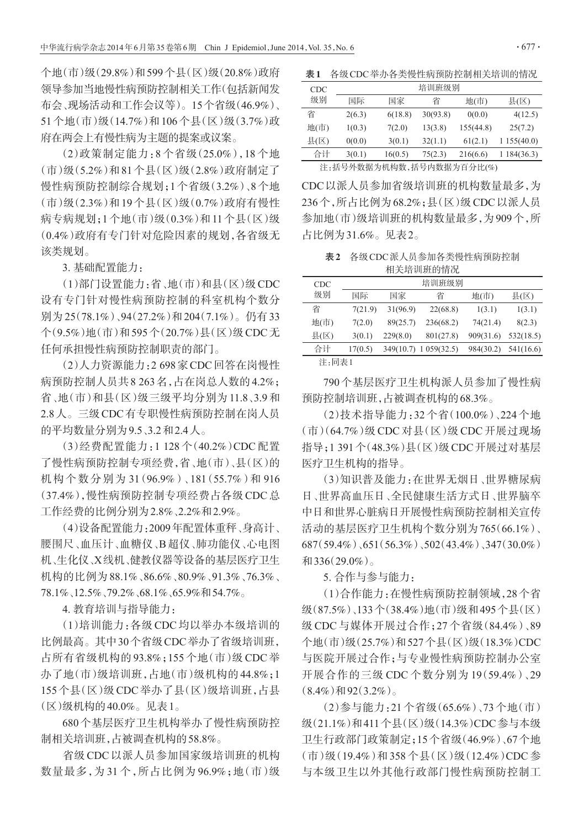个地(市)级(29.8%)和599个县(区)级(20.8%)政府 领导参加当地慢性病预防控制相关工作(包括新闻发 布会、现场活动和工作会议等)。15个省级(46.9%)、 51个地(市)级(14.7%)和106个县(区)级(3.7%)政 府在两会上有慢性病为主题的提案或议案。

(2)政策制定能力:8 个省级(25.0%),18 个地 (市)级(5.2%)和81个县(区)级(2.8%)政府制定了 慢性病预防控制综合规划;1个省级(3.2%)、8个地 (市)级(2.3%)和19个县(区)级(0.7%)政府有慢性 病专病规划;1个地(市)级(0.3%)和11个县(区)级 (0.4%)政府有专门针对危险因素的规划,各省级无 该类规划。

3. 基础配置能力:

(1)部门设置能力:省、地(市)和县(区)级CDC 设有专门针对慢性病预防控制的科室机构个数分 别为 25(78.1%)、94(27.2%)和204(7.1%)。仍有33 个(9.5%)地(市)和595个(20.7%)县(区)级CDC无 任何承担慢性病预防控制职责的部门。

(2)人力资源能力:2 698家CDC回答在岗慢性 病预防控制人员共8 263名,占在岗总人数的4.2%; 省、地(市)和县(区)级三级平均分别为 11.8、3.9 和 2.8人。三级CDC有专职慢性病预防控制在岗人员 的平均数量分别为9.5、3.2和2.4人。

(3)经费配置能力:1 128 个(40.2%)CDC 配置 了慢性病预防控制专项经费,省、地(市)、县(区)的 机构个数分别为 31(96.9%)、181(55.7%)和 916 (37.4%),慢性病预防控制专项经费占各级CDC总 工作经费的比例分别为2.8%、2.2%和2.9%。

(4)设备配置能力:2009年配置体重秤、身高计、 腰围尺、血压计、血糖仪、B超仪、肺功能仪、心电图 机、生化仪、X线机、健教仪器等设备的基层医疗卫生 机构的比例为88.1%、86.6%、80.9%、91.3%、76.3%、 78.1%、12.5%、79.2%、68.1%、65.9%和54.7%。

4. 教育培训与指导能力:

(1)培训能力:各级 CDC 均以举办本级培训的 比例最高。其中30个省级CDC举办了省级培训班, 占所有省级机构的 93.8%;155 个地(市)级 CDC 举 办了地(市)级培训班,占地(市)级机构的44.8%;1 155个县(区)级CDC举办了县(区)级培训班,占县 (区)级机构的40.0%。见表1。

680个基层医疗卫生机构举办了慢性病预防控 制相关培训班,占被调查机构的58.8%。

省级 CDC 以派人员参加国家级培训班的机构 数量最多,为 31 个,所占比例为 96.9%;地(市)级

表1 各级CDC举办各类慢性病预防控制相关培训的情况

| <b>CDC</b> | 培训班级别  |         |          |           |             |  |  |  |
|------------|--------|---------|----------|-----------|-------------|--|--|--|
| 级别         | 国际     | 国家      | 省        | 地(市)      | 县(区)        |  |  |  |
| 省          | 2(6.3) | 6(18.8) | 30(93.8) | 0(0.0)    | 4(12.5)     |  |  |  |
| 地(市)       | 1(0.3) | 7(2.0)  | 13(3.8)  | 155(44.8) | 25(7.2)     |  |  |  |
| 县(区)       | 0(0.0) | 3(0.1)  | 32(1.1)  | 61(2.1)   | 1155(40.0)  |  |  |  |
| 合计         | 3(0.1) | 16(0.5) | 75(2.3)  | 216(6.6)  | 1 184(36.3) |  |  |  |

注:括号外数据为机构数,括号内数据为百分比(%)

CDC以派人员参加省级培训班的机构数量最多,为 236个,所占比例为68.2%;县(区)级CDC以派人员 参加地(市)级培训班的机构数量最多,为909个,所 占比例为31.6%。见表2。

表2 各级CDC派人员参加各类慢性病预防控制 相关培训班的情况

| <b>CDC</b> | 培训班级别   |          |                       |           |           |  |  |
|------------|---------|----------|-----------------------|-----------|-----------|--|--|
| 级别         | 国际      | 国家       | 省                     | 地(市)      | 县(区)      |  |  |
| 省          | 7(21.9) | 31(96.9) | 22(68.8)              | 1(3.1)    | 1(3.1)    |  |  |
| 地(市)       | 7(2.0)  | 89(25.7) | 236(68.2)             | 74(21.4)  | 8(2.3)    |  |  |
| 县(区)       | 3(0.1)  | 229(8.0) | 801(27.8)             | 909(31.6) | 532(18.5) |  |  |
| 合计         | 17(0.5) |          | 349(10.7) 1 059(32.5) | 984(30.2) | 541(16.6) |  |  |
| 注:同表1      |         |          |                       |           |           |  |  |

790个基层医疗卫生机构派人员参加了慢性病 预防控制培训班,占被调查机构的68.3%。

(2)技术指导能力:32 个省(100.0%)、224 个地 (市)(64.7%)级 CDC 对县(区)级 CDC 开展过现场 指导;1 391个(48.3%)县(区)级CDC开展过对基层 医疗卫生机构的指导。

(3)知识普及能力:在世界无烟日、世界糖尿病 日、世界高血压日、全民健康生活方式日、世界脑卒 中日和世界心脏病日开展慢性病预防控制相关宣传 活动的基层医疗卫生机构个数分别为765(66.1%)、 687(59.4%)、651(56.3%)、502(43.4%)、347(30.0%) 和336(29.0%)。

5. 合作与参与能力:

(1)合作能力:在慢性病预防控制领域,28个省 级(87.5%)、133个(38.4%)地(市)级和495个县(区) 级 CDC 与媒体开展过合作;27 个省级(84.4%)、89 个地(市)级(25.7%)和527个县(区)级(18.3%)CDC 与医院开展过合作;与专业慢性病预防控制办公室 开展合作的三级 CDC 个数分别为 19(59.4%)、29  $(8.4\%)$ 和92 $(3.2\%)$ 。

(2)参与能力:21 个省级(65.6%)、73 个地(市) 级(21.1%)和411个县(区)级(14.3%)CDC参与本级 卫生行政部门政策制定;15个省级(46.9%)、67个地 (市)级(19.4%)和 358 个县(区)级(12.4%)CDC 参 与本级卫生以外其他行政部门慢性病预防控制工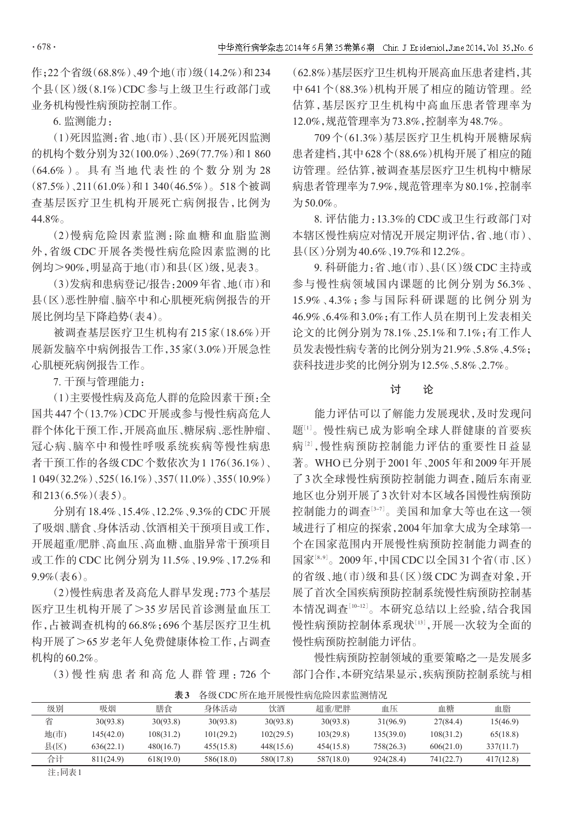作;22个省级(68.8%)、49个地(市)级(14.2%)和234 个县(区)级(8.1%)CDC 参与上级卫生行政部门或 业务机构慢性病预防控制工作。

6. 监测能力:

(1)死因监测:省、地(市)、县(区)开展死因监测 的机构个数分别为32(100.0%)、269(77.7%)和1 860 (64.6%)。 具 有 当 地 代 表 性 的 个 数 分 别 为 28 (87.5%)、211(61.0%)和1 340(46.5%)。518个被调 查基层医疗卫生机构开展死亡病例报告,比例为 44.8%。

(2)慢病危险因素监测:除血糖和血脂监测 外,省级 CDC 开展各类慢性病危险因素监测的比 例均>90%,明显高于地(市)和县(区)级,见表3。

(3)发病和患病登记/报告:2009年省、地(市)和 县(区)恶性肿瘤、脑卒中和心肌梗死病例报告的开 展比例均呈下降趋势(表4)。

被调查基层医疗卫生机构有 215 家(18.6%)开 展新发脑卒中病例报告工作,35家(3.0%)开展急性 心肌梗死病例报告工作。

7. 干预与管理能力:

(1)主要慢性病及高危人群的危险因素干预:全 国共447个(13.7%)CDC开展或参与慢性病高危人 群个体化干预工作,开展高血压、糖尿病、恶性肿瘤、 冠心病、脑卒中和慢性呼吸系统疾病等慢性病患 者干预工作的各级CDC个数依次为1 176(36.1%)、 1 049(32.2%)、525(16.1%)、357(11.0%)、355(10.9%) 和213(6.5%)(表5)。

分别有18.4%、15.4%、12.2%、9.3%的CDC开展 了吸烟、膳食、身体活动、饮酒相关干预项目或工作, 开展超重/肥胖、高血压、高血糖、血脂异常干预项目 或工作的 CDC 比例分别为 11.5%、19.9%、17.2%和 9.9%(表6)。

(2)慢性病患者及高危人群早发现:773个基层 医疗卫生机构开展了>35 岁居民首诊测量血压工 作,占被调查机构的66.8%;696个基层医疗卫生机 构开展了>65岁老年人免费健康体检工作,占调查 机构的60.2%。

(3)慢 性 病 患 者 和 高 危 人 群 管 理 :726 个

(62.8%)基层医疗卫生机构开展高血压患者建档,其 中 641 个(88.3%)机构开展了相应的随访管理。经 估算,基层医疗卫生机构中高血压患者管理率为 12.0%,规范管理率为73.8%,控制率为48.7%。

709 个(61.3%)基层医疗卫生机构开展糖尿病 患者建档,其中628个(88.6%)机构开展了相应的随 访管理。经估算,被调查基层医疗卫生机构中糖尿 病患者管理率为7.9%,规范管理率为80.1%,控制率 为50.0%。

8. 评估能力:13.3%的 CDC 或卫生行政部门对 本辖区慢性病应对情况开展定期评估,省、地(市)、 县(区)分别为40.6%、19.7%和12.2%。

9. 科研能力:省、地(市)、县(区)级CDC主持或 参与慢性病领域国内课题的比例分别为 56.3%、 15.9%、4.3%;参与国际科研课题的比例分别为 46.9%、6.4%和3.0%;有工作人员在期刊上发表相关 论文的比例分别为78.1%、25.1%和7.1%;有工作人 员发表慢性病专著的比例分别为21.9%、5.8%、4.5%; 获科技进步奖的比例分别为12.5%、5.8%、2.7%。

#### 讨 论

能力评估可以了解能力发展现状,及时发现问 题:1〕 慢性病已成为影响全球人群健康的首要疾 病2、慢性病预防控制能力评估的重要性日益显 著。WHO已分别于2001年、2005年和2009年开展 了3次全球慢性病预防控制能力调查,随后东南亚 地区也分别开展了3次针对本区域各国慢性病预防 控制能力的调查[<sup>3</sup>-7] 。美国和加拿大等也在这一领 域进行了相应的探索,2004年加拿大成为全球第一 个在国家范围内开展慢性病预防控制能力调查的 国家[8,9]。2009年,中国CDC以全国31个省(市、区) 的省级、地(市)级和县(区)级CDC为调查对象,开 展了首次全国疾病预防控制系统慢性病预防控制基 本情况调查[<sup>10</sup>-12] 。本研究总结以上经验,结合我国 慢性病预防控制体系现状[<sup>13</sup>] ,开展一次较为全面的 慢性病预防控制能力评估。

慢性病预防控制领域的重要策略之一是发展多 部门合作,本研究结果显示,疾病预防控制系统与相

| 级别    | 吸烟        | 膳食        | 身体活动      | 饮酒        | 超重/肥胖     | 血压        | 血糖        | 血脂        |
|-------|-----------|-----------|-----------|-----------|-----------|-----------|-----------|-----------|
| 省     | 30(93.8)  | 30(93.8)  | 30(93.8)  | 30(93.8)  | 30(93.8)  | 31(96.9)  | 27(84.4)  | 15(46.9)  |
| 地(市)  | 145(42.0) | 108(31.2) | 101(29.2) | 102(29.5) | 103(29.8) | 135(39.0) | 108(31.2) | 65(18.8)  |
| 县(区)  | 636(22.1) | 480(16.7) | 455(15.8) | 448(15.6) | 454(15.8) | 758(26.3) | 606(21.0) | 337(11.7) |
| 合计    | 811(24.9) | 618(19.0) | 586(18.0) | 580(17.8) | 587(18.0) | 924(28.4) | 741(22.7) | 417(12.8) |
| 注:同表1 |           |           |           |           |           |           |           |           |

表3 各级CDC所在地开展慢性病危险因素监测情况